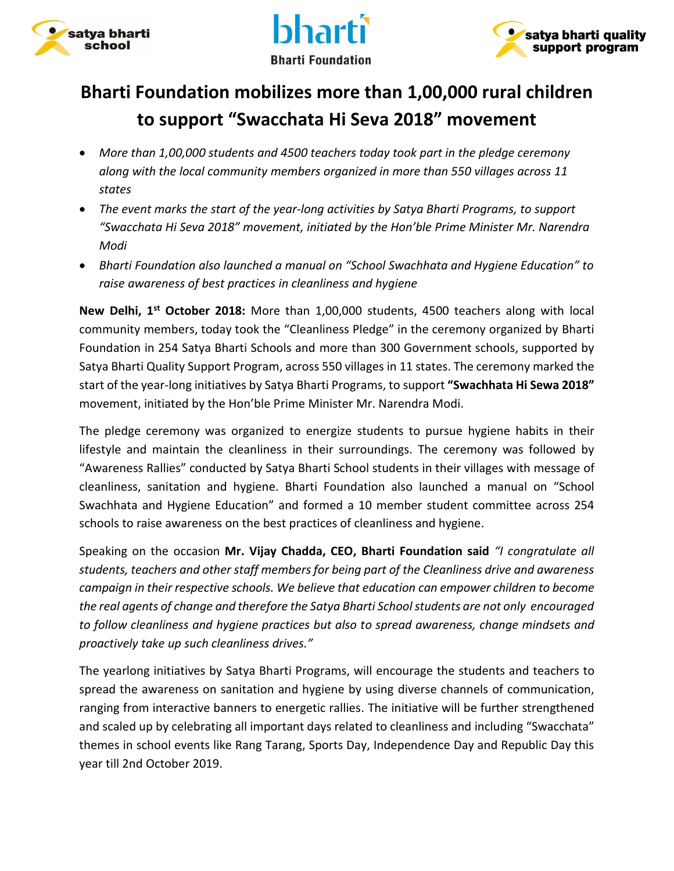





## **Bharti Foundation mobilizes more than 1,00,000 rural children to support "Swacchata Hi Seva 2018" movement**

- *More than 1,00,000 students and 4500 teachers today took part in the pledge ceremony along with the local community members organized in more than 550 villages across 11 states*
- *The event marks the start of the year-long activities by Satya Bharti Programs, to support "Swacchata Hi Seva 2018" movement, initiated by the Hon'ble Prime Minister Mr. Narendra Modi*
- *Bharti Foundation also launched a manual on "School Swachhata and Hygiene Education" to raise awareness of best practices in cleanliness and hygiene*

**New Delhi, 1st October 2018:** More than 1,00,000 students, 4500 teachers along with local community members, today took the "Cleanliness Pledge" in the ceremony organized by Bharti Foundation in 254 Satya Bharti Schools and more than 300 Government schools, supported by Satya Bharti Quality Support Program, across 550 villages in 11 states. The ceremony marked the start of the year-long initiatives by Satya Bharti Programs, to support **"Swachhata Hi Sewa 2018"** movement, initiated by the Hon'ble Prime Minister Mr. Narendra Modi.

The pledge ceremony was organized to energize students to pursue hygiene habits in their lifestyle and maintain the cleanliness in their surroundings. The ceremony was followed by "Awareness Rallies" conducted by Satya Bharti School students in their villages with message of cleanliness, sanitation and hygiene. Bharti Foundation also launched a manual on "School Swachhata and Hygiene Education" and formed a 10 member student committee across 254 schools to raise awareness on the best practices of cleanliness and hygiene.

Speaking on the occasion **Mr. Vijay Chadda, CEO, Bharti Foundation said** *"I congratulate all students, teachers and other staff members for being part of the Cleanliness drive and awareness campaign in their respective schools. We believe that education can empower children to become the real agents of change and therefore the Satya Bharti School students are not only encouraged to follow cleanliness and hygiene practices but also to spread awareness, change mindsets and proactively take up such cleanliness drives."* 

The yearlong initiatives by Satya Bharti Programs, will encourage the students and teachers to spread the awareness on sanitation and hygiene by using diverse channels of communication, ranging from interactive banners to energetic rallies. The initiative will be further strengthened and scaled up by celebrating all important days related to cleanliness and including "Swacchata" themes in school events like Rang Tarang, Sports Day, Independence Day and Republic Day this year till 2nd October 2019.